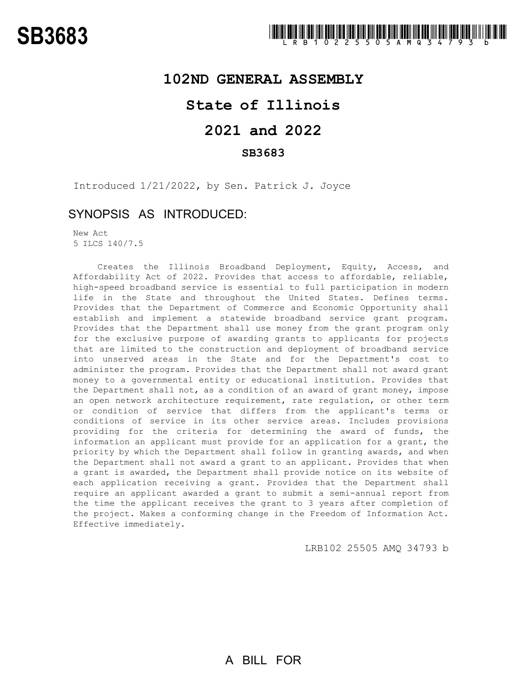## **102ND GENERAL ASSEMBLY**

# **State of Illinois**

# **2021 and 2022**

## **SB3683**

Introduced 1/21/2022, by Sen. Patrick J. Joyce

## SYNOPSIS AS INTRODUCED:

New Act 5 ILCS 140/7.5

Creates the Illinois Broadband Deployment, Equity, Access, and Affordability Act of 2022. Provides that access to affordable, reliable, high-speed broadband service is essential to full participation in modern life in the State and throughout the United States. Defines terms. Provides that the Department of Commerce and Economic Opportunity shall establish and implement a statewide broadband service grant program. Provides that the Department shall use money from the grant program only for the exclusive purpose of awarding grants to applicants for projects that are limited to the construction and deployment of broadband service into unserved areas in the State and for the Department's cost to administer the program. Provides that the Department shall not award grant money to a governmental entity or educational institution. Provides that the Department shall not, as a condition of an award of grant money, impose an open network architecture requirement, rate regulation, or other term or condition of service that differs from the applicant's terms or conditions of service in its other service areas. Includes provisions providing for the criteria for determining the award of funds, the information an applicant must provide for an application for a grant, the priority by which the Department shall follow in granting awards, and when the Department shall not award a grant to an applicant. Provides that when a grant is awarded, the Department shall provide notice on its website of each application receiving a grant. Provides that the Department shall require an applicant awarded a grant to submit a semi-annual report from the time the applicant receives the grant to 3 years after completion of the project. Makes a conforming change in the Freedom of Information Act. Effective immediately.

LRB102 25505 AMQ 34793 b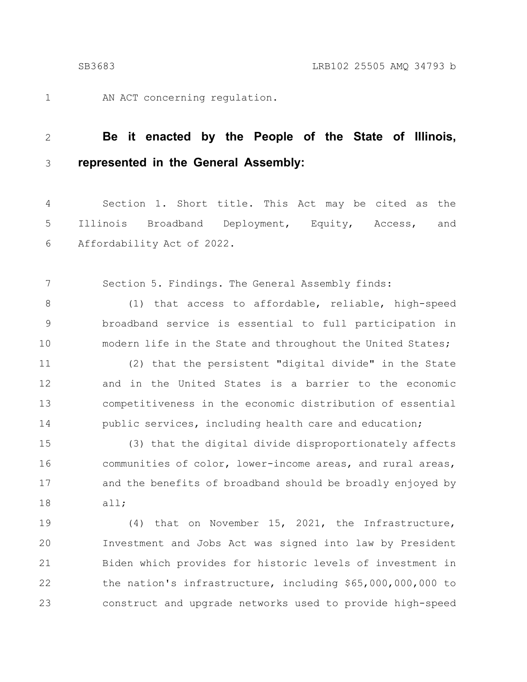AN ACT concerning regulation.

### **Be it enacted by the People of the State of Illinois, represented in the General Assembly:** 2 3

Section 1. Short title. This Act may be cited as the Illinois Broadband Deployment, Equity, Access, and Affordability Act of 2022. 4 5 6

Section 5. Findings. The General Assembly finds: 7

(1) that access to affordable, reliable, high-speed broadband service is essential to full participation in modern life in the State and throughout the United States; 8 9 10

(2) that the persistent "digital divide" in the State and in the United States is a barrier to the economic competitiveness in the economic distribution of essential public services, including health care and education; 11 12 13 14

(3) that the digital divide disproportionately affects communities of color, lower-income areas, and rural areas, and the benefits of broadband should be broadly enjoyed by all; 15 16 17 18

(4) that on November 15, 2021, the Infrastructure, Investment and Jobs Act was signed into law by President Biden which provides for historic levels of investment in the nation's infrastructure, including \$65,000,000,000 to construct and upgrade networks used to provide high-speed 19 20 21 22 23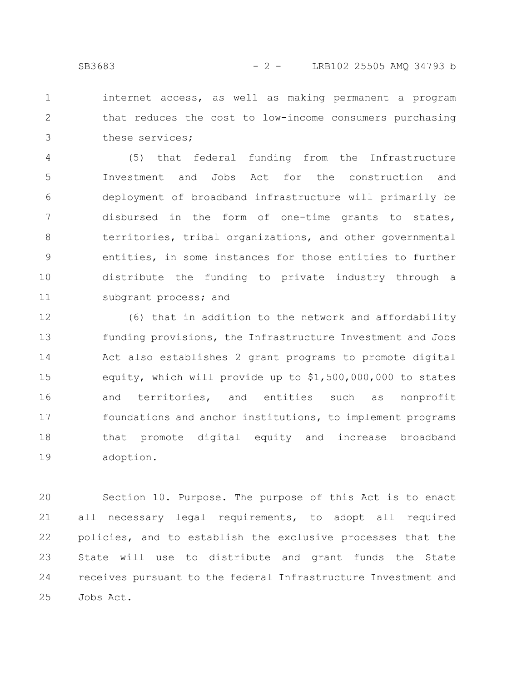internet access, as well as making permanent a program that reduces the cost to low-income consumers purchasing these services; 1 2 3

(5) that federal funding from the Infrastructure Investment and Jobs Act for the construction and deployment of broadband infrastructure will primarily be disbursed in the form of one-time grants to states, territories, tribal organizations, and other governmental entities, in some instances for those entities to further distribute the funding to private industry through a subgrant process; and 4 5 6 7 8 9 10 11

(6) that in addition to the network and affordability funding provisions, the Infrastructure Investment and Jobs Act also establishes 2 grant programs to promote digital equity, which will provide up to \$1,500,000,000 to states and territories, and entities such as nonprofit foundations and anchor institutions, to implement programs that promote digital equity and increase broadband adoption. 12 13 14 15 16 17 18 19

Section 10. Purpose. The purpose of this Act is to enact all necessary legal requirements, to adopt all required policies, and to establish the exclusive processes that the State will use to distribute and grant funds the State receives pursuant to the federal Infrastructure Investment and Jobs Act. 20 21 22 23 24 25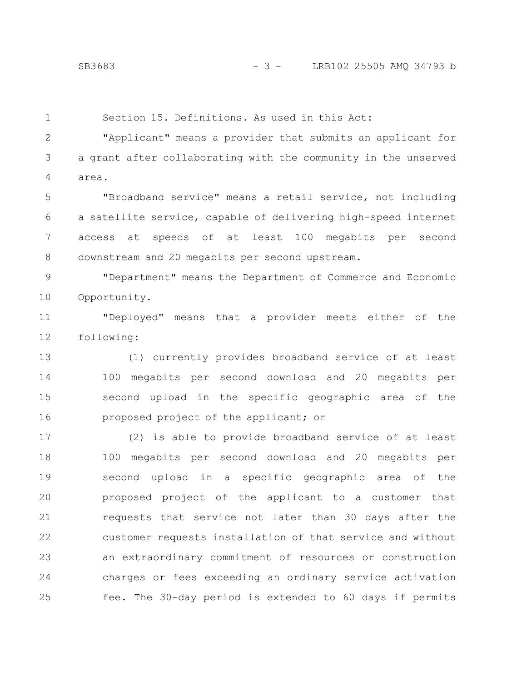Section 15. Definitions. As used in this Act:

"Applicant" means a provider that submits an applicant for a grant after collaborating with the community in the unserved area. 2 3 4

"Broadband service" means a retail service, not including a satellite service, capable of delivering high-speed internet access at speeds of at least 100 megabits per second downstream and 20 megabits per second upstream. 5 6 7 8

"Department" means the Department of Commerce and Economic Opportunity. 9 10

"Deployed" means that a provider meets either of the following: 11 12

(1) currently provides broadband service of at least 100 megabits per second download and 20 megabits per second upload in the specific geographic area of the proposed project of the applicant; or 13 14 15 16

(2) is able to provide broadband service of at least 100 megabits per second download and 20 megabits per second upload in a specific geographic area of the proposed project of the applicant to a customer that requests that service not later than 30 days after the customer requests installation of that service and without an extraordinary commitment of resources or construction charges or fees exceeding an ordinary service activation fee. The 30-day period is extended to 60 days if permits 17 18 19 20 21 22 23 24 25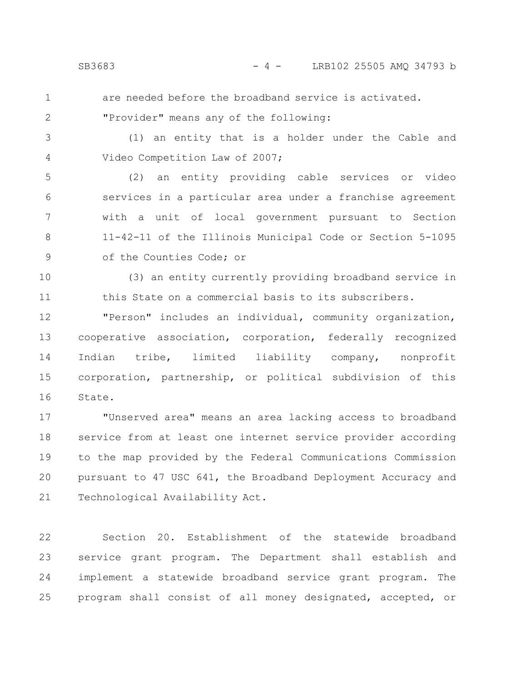are needed before the broadband service is activated.

"Provider" means any of the following:

3

4

(1) an entity that is a holder under the Cable and Video Competition Law of 2007;

(2) an entity providing cable services or video services in a particular area under a franchise agreement with a unit of local government pursuant to Section 11-42-11 of the Illinois Municipal Code or Section 5-1095 of the Counties Code; or 5 6 7 8 9

(3) an entity currently providing broadband service in this State on a commercial basis to its subscribers. 10 11

"Person" includes an individual, community organization, cooperative association, corporation, federally recognized Indian tribe, limited liability company, nonprofit corporation, partnership, or political subdivision of this State. 12 13 14 15 16

"Unserved area" means an area lacking access to broadband service from at least one internet service provider according to the map provided by the Federal Communications Commission pursuant to 47 USC 641, the Broadband Deployment Accuracy and Technological Availability Act. 17 18 19 20 21

Section 20. Establishment of the statewide broadband service grant program. The Department shall establish and implement a statewide broadband service grant program. The program shall consist of all money designated, accepted, or 22 23 24 25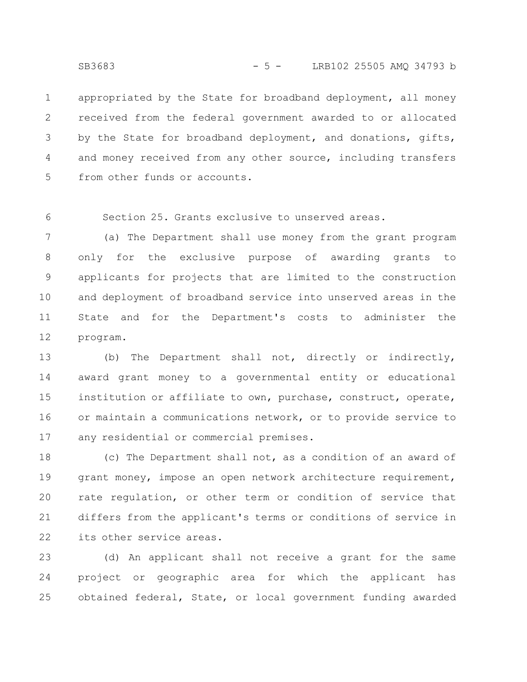appropriated by the State for broadband deployment, all money received from the federal government awarded to or allocated by the State for broadband deployment, and donations, gifts, and money received from any other source, including transfers from other funds or accounts. 1 2 3 4 5

Section 25. Grants exclusive to unserved areas. 6

(a) The Department shall use money from the grant program only for the exclusive purpose of awarding grants to applicants for projects that are limited to the construction and deployment of broadband service into unserved areas in the State and for the Department's costs to administer the program. 7 8 9 10 11 12

(b) The Department shall not, directly or indirectly, award grant money to a governmental entity or educational institution or affiliate to own, purchase, construct, operate, or maintain a communications network, or to provide service to any residential or commercial premises. 13 14 15 16 17

(c) The Department shall not, as a condition of an award of grant money, impose an open network architecture requirement, rate regulation, or other term or condition of service that differs from the applicant's terms or conditions of service in its other service areas. 18 19 20 21 22

(d) An applicant shall not receive a grant for the same project or geographic area for which the applicant has obtained federal, State, or local government funding awarded 23 24 25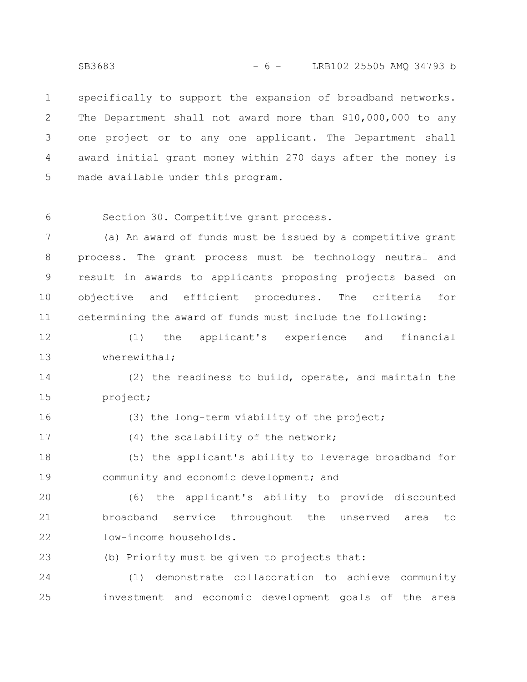specifically to support the expansion of broadband networks. The Department shall not award more than \$10,000,000 to any one project or to any one applicant. The Department shall award initial grant money within 270 days after the money is made available under this program. 1 2 3 4 5

6

Section 30. Competitive grant process.

(a) An award of funds must be issued by a competitive grant process. The grant process must be technology neutral and result in awards to applicants proposing projects based on objective and efficient procedures. The criteria for determining the award of funds must include the following: 7 8 9 10 11

(1) the applicant's experience and financial wherewithal; 12 13

(2) the readiness to build, operate, and maintain the project; 14 15

16

(3) the long-term viability of the project;

(4) the scalability of the network; 17

(5) the applicant's ability to leverage broadband for community and economic development; and 18 19

(6) the applicant's ability to provide discounted broadband service throughout the unserved area to low-income households. 20 21 22

(b) Priority must be given to projects that: 23

(1) demonstrate collaboration to achieve community investment and economic development goals of the area 24 25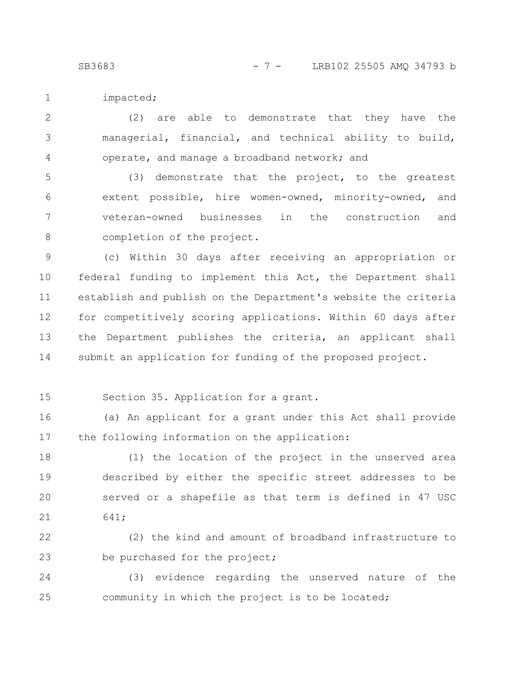SB3683 - 7 - LRB102 25505 AMO 34793 b

impacted;

(2) are able to demonstrate that they have the managerial, financial, and technical ability to build, operate, and manage a broadband network; and 2 3 4

(3) demonstrate that the project, to the greatest extent possible, hire women-owned, minority-owned, and veteran-owned businesses in the construction and completion of the project. 5 6 7 8

(c) Within 30 days after receiving an appropriation or federal funding to implement this Act, the Department shall establish and publish on the Department's website the criteria for competitively scoring applications. Within 60 days after the Department publishes the criteria, an applicant shall submit an application for funding of the proposed project. 9 10 11 12 13 14

15

Section 35. Application for a grant.

(a) An applicant for a grant under this Act shall provide the following information on the application: 16 17

(1) the location of the project in the unserved area described by either the specific street addresses to be served or a shapefile as that term is defined in 47 USC 641; 18 19 20 21

(2) the kind and amount of broadband infrastructure to be purchased for the project; 22 23

(3) evidence regarding the unserved nature of the community in which the project is to be located; 24 25

1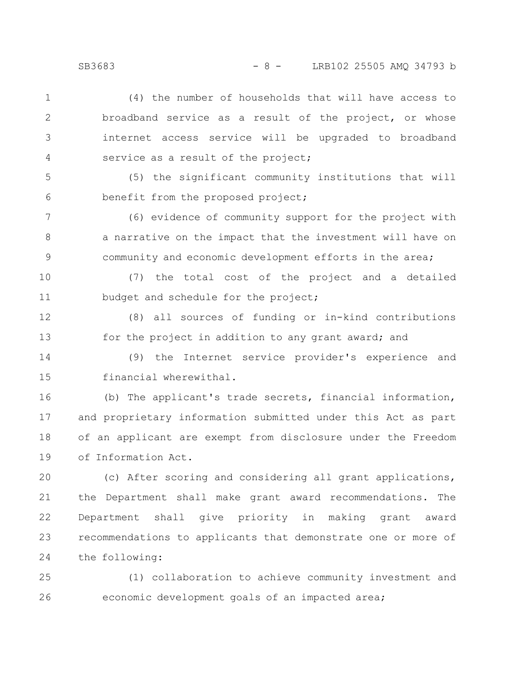SB3683 - 8 - LRB102 25505 AMO 34793 b

(4) the number of households that will have access to broadband service as a result of the project, or whose internet access service will be upgraded to broadband service as a result of the project; 1 2 3 4

(5) the significant community institutions that will benefit from the proposed project; 5 6

(6) evidence of community support for the project with a narrative on the impact that the investment will have on community and economic development efforts in the area; 7 8 9

(7) the total cost of the project and a detailed budget and schedule for the project; 10 11

(8) all sources of funding or in-kind contributions for the project in addition to any grant award; and 12 13

(9) the Internet service provider's experience and financial wherewithal. 14 15

(b) The applicant's trade secrets, financial information, and proprietary information submitted under this Act as part of an applicant are exempt from disclosure under the Freedom of Information Act. 16 17 18 19

(c) After scoring and considering all grant applications, the Department shall make grant award recommendations. The Department shall give priority in making grant award recommendations to applicants that demonstrate one or more of the following: 20 21 22 23 24

(1) collaboration to achieve community investment and economic development goals of an impacted area; 25 26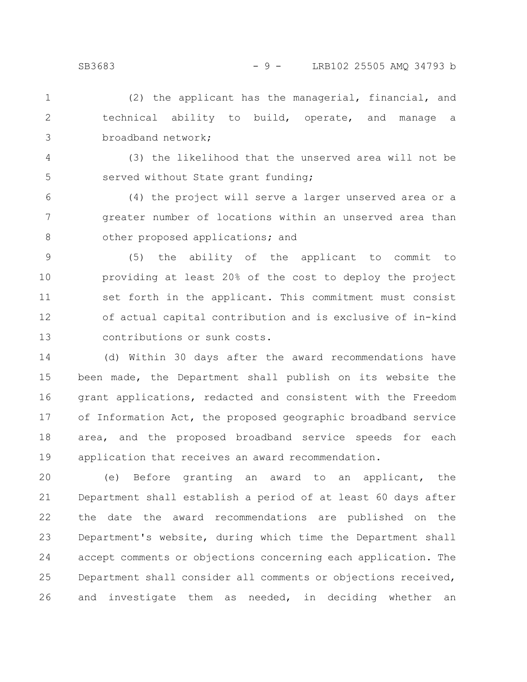(2) the applicant has the managerial, financial, and technical ability to build, operate, and manage a broadband network; 1 2 3

(3) the likelihood that the unserved area will not be served without State grant funding; 4 5

(4) the project will serve a larger unserved area or a greater number of locations within an unserved area than other proposed applications; and 6 7 8

(5) the ability of the applicant to commit to providing at least 20% of the cost to deploy the project set forth in the applicant. This commitment must consist of actual capital contribution and is exclusive of in-kind contributions or sunk costs. 9 10 11 12 13

(d) Within 30 days after the award recommendations have been made, the Department shall publish on its website the grant applications, redacted and consistent with the Freedom of Information Act, the proposed geographic broadband service area, and the proposed broadband service speeds for each application that receives an award recommendation. 14 15 16 17 18 19

(e) Before granting an award to an applicant, the Department shall establish a period of at least 60 days after the date the award recommendations are published on the Department's website, during which time the Department shall accept comments or objections concerning each application. The Department shall consider all comments or objections received, and investigate them as needed, in deciding whether an 20 21 22 23 24 25 26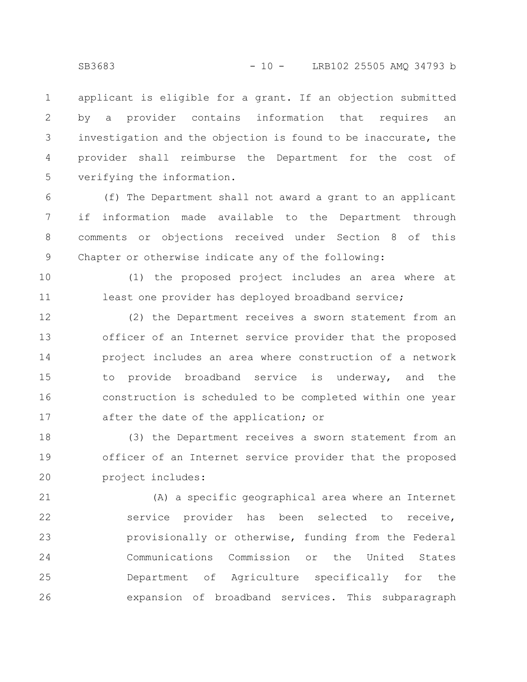applicant is eligible for a grant. If an objection submitted by a provider contains information that requires an investigation and the objection is found to be inaccurate, the provider shall reimburse the Department for the cost of verifying the information. 1 2 3 4 5

(f) The Department shall not award a grant to an applicant if information made available to the Department through comments or objections received under Section 8 of this Chapter or otherwise indicate any of the following: 6 7 8 9

(1) the proposed project includes an area where at least one provider has deployed broadband service; 10 11

(2) the Department receives a sworn statement from an officer of an Internet service provider that the proposed project includes an area where construction of a network to provide broadband service is underway, and the construction is scheduled to be completed within one year after the date of the application; or 12 13 14 15 16 17

(3) the Department receives a sworn statement from an officer of an Internet service provider that the proposed project includes: 18 19 20

(A) a specific geographical area where an Internet service provider has been selected to receive, provisionally or otherwise, funding from the Federal Communications Commission or the United States Department of Agriculture specifically for the expansion of broadband services. This subparagraph 21 22 23 24 25 26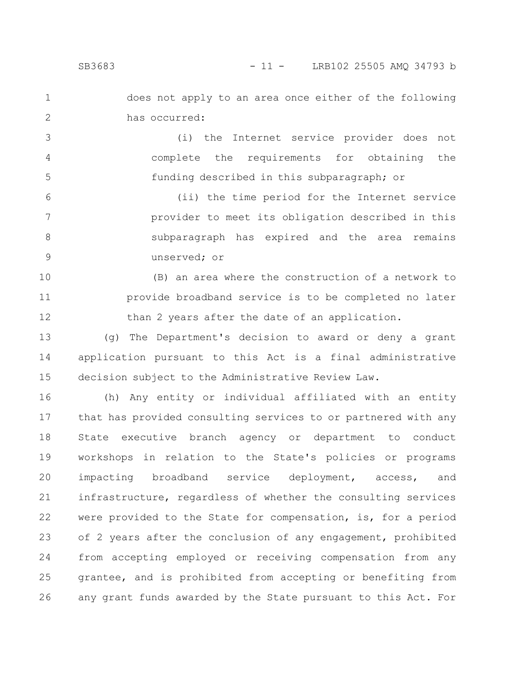2

does not apply to an area once either of the following has occurred:

(i) the Internet service provider does not complete the requirements for obtaining the funding described in this subparagraph; or 3 4 5

(ii) the time period for the Internet service provider to meet its obligation described in this subparagraph has expired and the area remains unserved; or 6 7 8 9

(B) an area where the construction of a network to provide broadband service is to be completed no later than 2 years after the date of an application. 10 11 12

(g) The Department's decision to award or deny a grant application pursuant to this Act is a final administrative decision subject to the Administrative Review Law. 13 14 15

(h) Any entity or individual affiliated with an entity that has provided consulting services to or partnered with any State executive branch agency or department to conduct workshops in relation to the State's policies or programs impacting broadband service deployment, access, and infrastructure, regardless of whether the consulting services were provided to the State for compensation, is, for a period of 2 years after the conclusion of any engagement, prohibited from accepting employed or receiving compensation from any grantee, and is prohibited from accepting or benefiting from any grant funds awarded by the State pursuant to this Act. For 16 17 18 19 20 21 22 23 24 25 26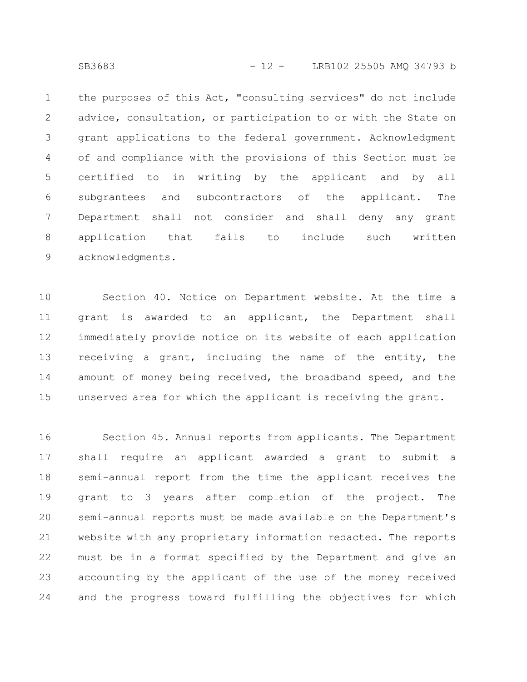the purposes of this Act, "consulting services" do not include advice, consultation, or participation to or with the State on grant applications to the federal government. Acknowledgment of and compliance with the provisions of this Section must be certified to in writing by the applicant and by all subgrantees and subcontractors of the applicant. The Department shall not consider and shall deny any grant application that fails to include such written acknowledgments. 1 2 3 4 5 6 7 8 9

Section 40. Notice on Department website. At the time a grant is awarded to an applicant, the Department shall immediately provide notice on its website of each application receiving a grant, including the name of the entity, the amount of money being received, the broadband speed, and the unserved area for which the applicant is receiving the grant. 10 11 12 13 14 15

Section 45. Annual reports from applicants. The Department shall require an applicant awarded a grant to submit a semi-annual report from the time the applicant receives the grant to 3 years after completion of the project. The semi-annual reports must be made available on the Department's website with any proprietary information redacted. The reports must be in a format specified by the Department and give an accounting by the applicant of the use of the money received and the progress toward fulfilling the objectives for which 16 17 18 19 20 21 22 23 24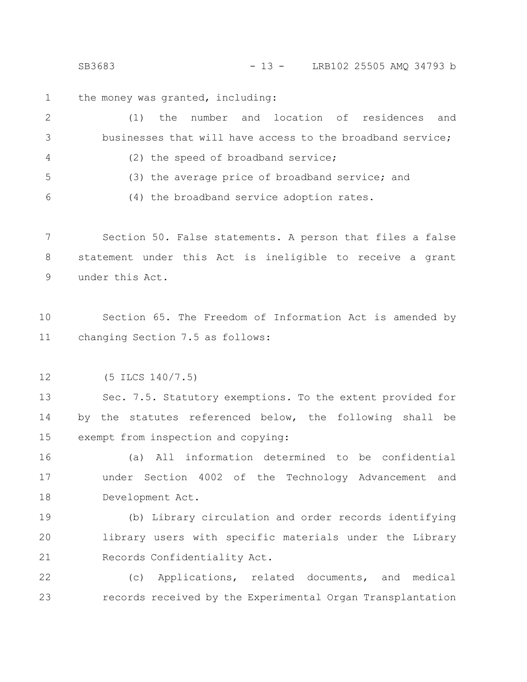SB3683 - 13 - LRB102 25505 AMO 34793 b

the money was granted, including: 1

(1) the number and location of residences and businesses that will have access to the broadband service; (2) the speed of broadband service; (3) the average price of broadband service; and (4) the broadband service adoption rates. 2 3 4 5 6

Section 50. False statements. A person that files a false statement under this Act is ineligible to receive a grant under this Act. 7 8 9

Section 65. The Freedom of Information Act is amended by changing Section 7.5 as follows: 10 11

(5 ILCS 140/7.5) 12

Sec. 7.5. Statutory exemptions. To the extent provided for by the statutes referenced below, the following shall be exempt from inspection and copying: 13 14 15

(a) All information determined to be confidential under Section 4002 of the Technology Advancement and Development Act. 16 17 18

(b) Library circulation and order records identifying library users with specific materials under the Library Records Confidentiality Act. 19 20 21

(c) Applications, related documents, and medical records received by the Experimental Organ Transplantation 22 23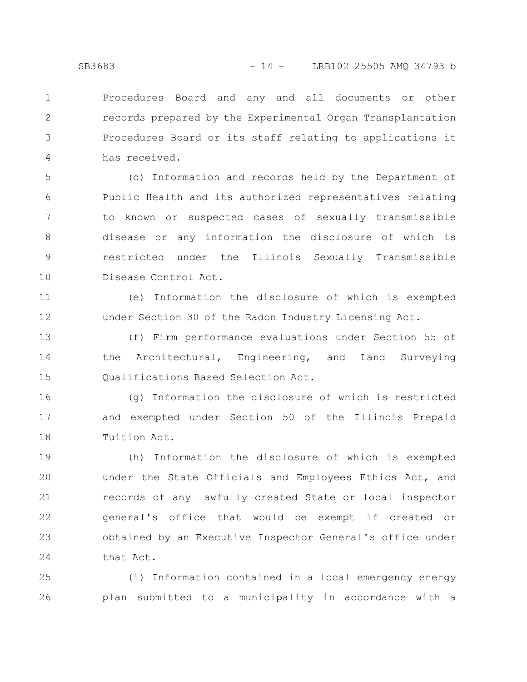Procedures Board and any and all documents or other records prepared by the Experimental Organ Transplantation Procedures Board or its staff relating to applications it has received. 1 2 3 4

(d) Information and records held by the Department of Public Health and its authorized representatives relating to known or suspected cases of sexually transmissible disease or any information the disclosure of which is restricted under the Illinois Sexually Transmissible Disease Control Act. 5 6 7 8 9 10

(e) Information the disclosure of which is exempted under Section 30 of the Radon Industry Licensing Act. 11 12

(f) Firm performance evaluations under Section 55 of the Architectural, Engineering, and Land Surveying Qualifications Based Selection Act. 13 14 15

(g) Information the disclosure of which is restricted and exempted under Section 50 of the Illinois Prepaid Tuition Act. 16 17 18

(h) Information the disclosure of which is exempted under the State Officials and Employees Ethics Act, and records of any lawfully created State or local inspector general's office that would be exempt if created or obtained by an Executive Inspector General's office under that Act. 19 20 21 22 23 24

(i) Information contained in a local emergency energy plan submitted to a municipality in accordance with a 25 26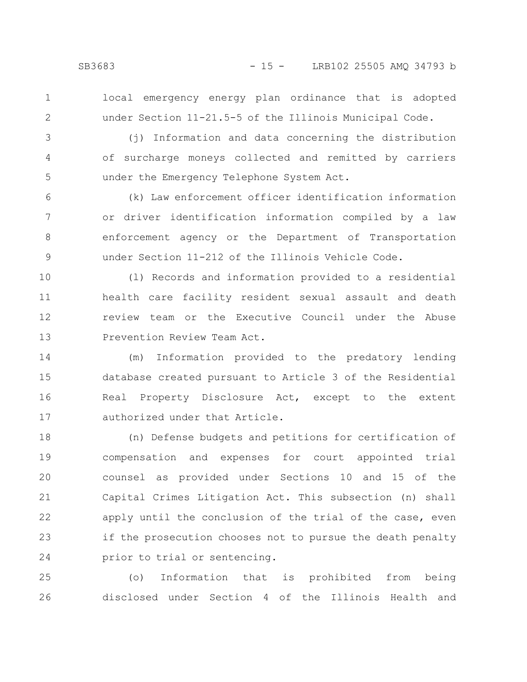local emergency energy plan ordinance that is adopted under Section 11-21.5-5 of the Illinois Municipal Code.

3

4

5

2

(j) Information and data concerning the distribution of surcharge moneys collected and remitted by carriers under the Emergency Telephone System Act.

(k) Law enforcement officer identification information or driver identification information compiled by a law enforcement agency or the Department of Transportation under Section 11-212 of the Illinois Vehicle Code. 6 7 8 9

(l) Records and information provided to a residential health care facility resident sexual assault and death review team or the Executive Council under the Abuse Prevention Review Team Act. 10 11 12 13

(m) Information provided to the predatory lending database created pursuant to Article 3 of the Residential Real Property Disclosure Act, except to the extent authorized under that Article. 14 15 16 17

(n) Defense budgets and petitions for certification of compensation and expenses for court appointed trial counsel as provided under Sections 10 and 15 of the Capital Crimes Litigation Act. This subsection (n) shall apply until the conclusion of the trial of the case, even if the prosecution chooses not to pursue the death penalty prior to trial or sentencing. 18 19 20 21 22 23 24

(o) Information that is prohibited from being disclosed under Section 4 of the Illinois Health and 25 26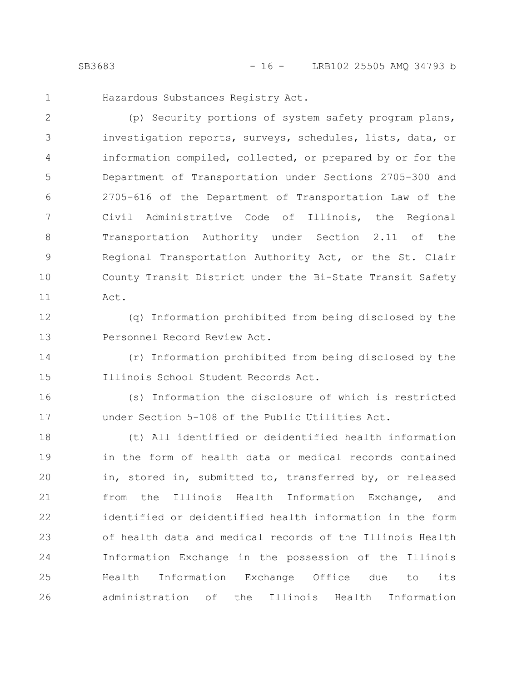Hazardous Substances Registry Act.

(p) Security portions of system safety program plans, investigation reports, surveys, schedules, lists, data, or information compiled, collected, or prepared by or for the Department of Transportation under Sections 2705-300 and 2705-616 of the Department of Transportation Law of the Civil Administrative Code of Illinois, the Regional Transportation Authority under Section 2.11 of the Regional Transportation Authority Act, or the St. Clair County Transit District under the Bi-State Transit Safety Act. 2 3 4 5 6 7 8 9 10 11

12

13

1

(q) Information prohibited from being disclosed by the Personnel Record Review Act.

(r) Information prohibited from being disclosed by the Illinois School Student Records Act. 14 15

(s) Information the disclosure of which is restricted under Section 5-108 of the Public Utilities Act. 16 17

(t) All identified or deidentified health information in the form of health data or medical records contained in, stored in, submitted to, transferred by, or released from the Illinois Health Information Exchange, and identified or deidentified health information in the form of health data and medical records of the Illinois Health Information Exchange in the possession of the Illinois Health Information Exchange Office due to its administration of the Illinois Health Information 18 19 20 21 22 23 24 25 26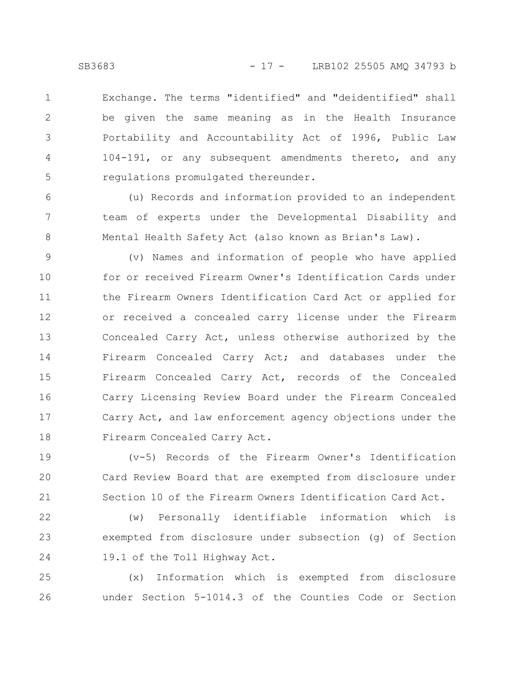Exchange. The terms "identified" and "deidentified" shall be given the same meaning as in the Health Insurance Portability and Accountability Act of 1996, Public Law 104-191, or any subsequent amendments thereto, and any regulations promulgated thereunder. 1 2 3 4 5

(u) Records and information provided to an independent team of experts under the Developmental Disability and Mental Health Safety Act (also known as Brian's Law). 6 7 8

(v) Names and information of people who have applied for or received Firearm Owner's Identification Cards under the Firearm Owners Identification Card Act or applied for or received a concealed carry license under the Firearm Concealed Carry Act, unless otherwise authorized by the Firearm Concealed Carry Act; and databases under the Firearm Concealed Carry Act, records of the Concealed Carry Licensing Review Board under the Firearm Concealed Carry Act, and law enforcement agency objections under the Firearm Concealed Carry Act. 9 10 11 12 13 14 15 16 17 18

(v-5) Records of the Firearm Owner's Identification Card Review Board that are exempted from disclosure under Section 10 of the Firearm Owners Identification Card Act. 19 20 21

(w) Personally identifiable information which is exempted from disclosure under subsection (g) of Section 19.1 of the Toll Highway Act. 22 23 24

(x) Information which is exempted from disclosure under Section 5-1014.3 of the Counties Code or Section 25 26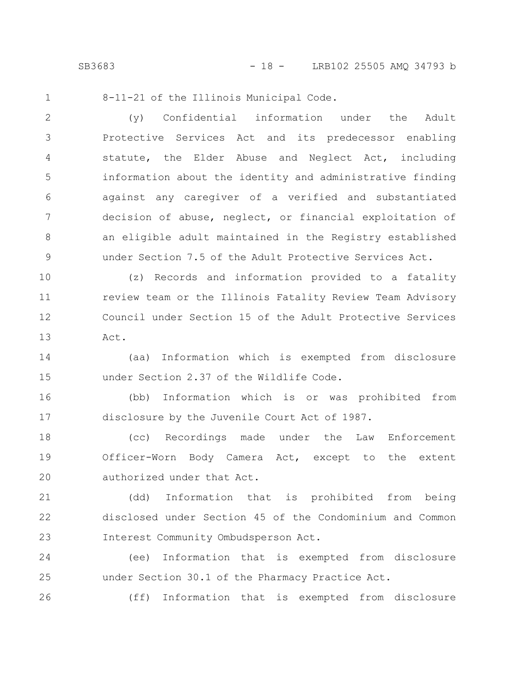SB3683 - 18 - LRB102 25505 AMQ 34793 b

8-11-21 of the Illinois Municipal Code. 1

(y) Confidential information under the Adult Protective Services Act and its predecessor enabling statute, the Elder Abuse and Neglect Act, including information about the identity and administrative finding against any caregiver of a verified and substantiated decision of abuse, neglect, or financial exploitation of an eligible adult maintained in the Registry established under Section 7.5 of the Adult Protective Services Act. 2 3 4 5 6 7 8 9

(z) Records and information provided to a fatality review team or the Illinois Fatality Review Team Advisory Council under Section 15 of the Adult Protective Services Act. 10 11 12 13

(aa) Information which is exempted from disclosure under Section 2.37 of the Wildlife Code. 14 15

(bb) Information which is or was prohibited from disclosure by the Juvenile Court Act of 1987. 16 17

(cc) Recordings made under the Law Enforcement Officer-Worn Body Camera Act, except to the extent authorized under that Act. 18 19 20

(dd) Information that is prohibited from being disclosed under Section 45 of the Condominium and Common Interest Community Ombudsperson Act. 21 22 23

(ee) Information that is exempted from disclosure under Section 30.1 of the Pharmacy Practice Act. 24 25

(ff) Information that is exempted from disclosure

26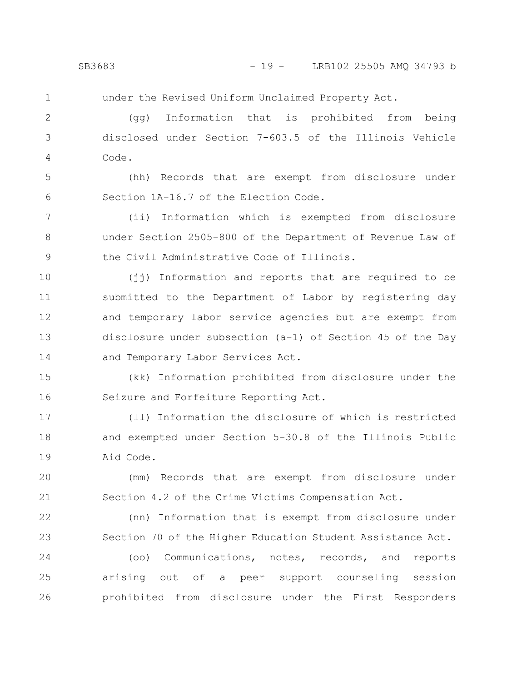under the Revised Uniform Unclaimed Property Act.

(gg) Information that is prohibited from being disclosed under Section 7-603.5 of the Illinois Vehicle Code. 2 3 4

(hh) Records that are exempt from disclosure under Section 1A-16.7 of the Election Code. 5 6

(ii) Information which is exempted from disclosure under Section 2505-800 of the Department of Revenue Law of the Civil Administrative Code of Illinois. 7 8 9

(jj) Information and reports that are required to be submitted to the Department of Labor by registering day and temporary labor service agencies but are exempt from disclosure under subsection (a-1) of Section 45 of the Day and Temporary Labor Services Act. 10 11 12 13 14

(kk) Information prohibited from disclosure under the Seizure and Forfeiture Reporting Act. 15 16

(ll) Information the disclosure of which is restricted and exempted under Section 5-30.8 of the Illinois Public Aid Code. 17 18 19

(mm) Records that are exempt from disclosure under Section 4.2 of the Crime Victims Compensation Act. 20 21

(nn) Information that is exempt from disclosure under Section 70 of the Higher Education Student Assistance Act. 22 23

(oo) Communications, notes, records, and reports arising out of a peer support counseling session prohibited from disclosure under the First Responders 24 25 26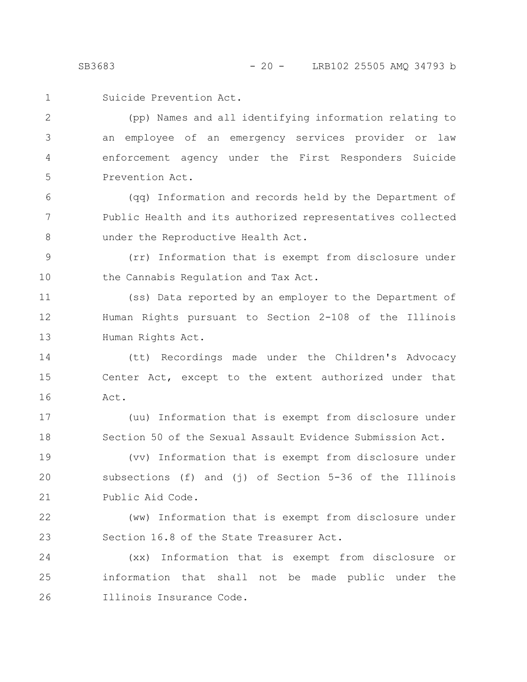Suicide Prevention Act. 1

(pp) Names and all identifying information relating to an employee of an emergency services provider or law enforcement agency under the First Responders Suicide Prevention Act. 2 3 4 5

(qq) Information and records held by the Department of Public Health and its authorized representatives collected under the Reproductive Health Act. 6 7 8

(rr) Information that is exempt from disclosure under the Cannabis Regulation and Tax Act. 9 10

(ss) Data reported by an employer to the Department of Human Rights pursuant to Section 2-108 of the Illinois Human Rights Act. 11 12 13

(tt) Recordings made under the Children's Advocacy Center Act, except to the extent authorized under that Act. 14 15 16

(uu) Information that is exempt from disclosure under Section 50 of the Sexual Assault Evidence Submission Act. 17 18

(vv) Information that is exempt from disclosure under subsections (f) and (j) of Section 5-36 of the Illinois Public Aid Code. 19 20 21

(ww) Information that is exempt from disclosure under Section 16.8 of the State Treasurer Act. 22 23

(xx) Information that is exempt from disclosure or information that shall not be made public under the Illinois Insurance Code. 24 25 26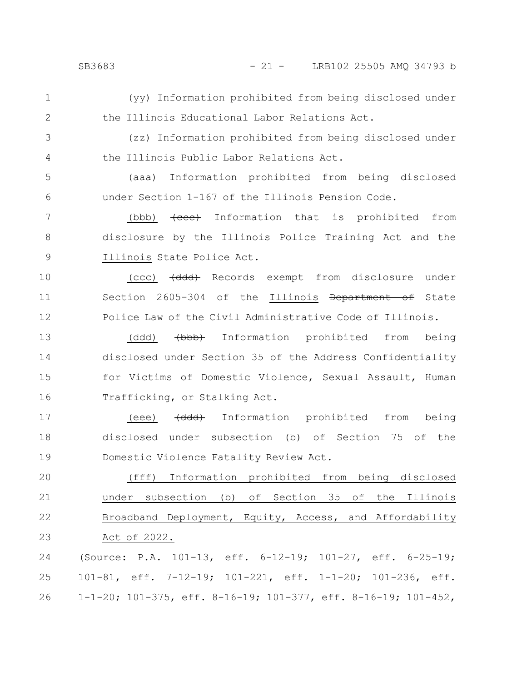- (yy) Information prohibited from being disclosed under the Illinois Educational Labor Relations Act. 1 2
- (zz) Information prohibited from being disclosed under the Illinois Public Labor Relations Act. 3 4
- (aaa) Information prohibited from being disclosed under Section 1-167 of the Illinois Pension Code. 5 6
- (bbb)  $\{eee\}$  Information that is prohibited from disclosure by the Illinois Police Training Act and the Illinois State Police Act. 7 8 9
- (ccc) (ddd) Records exempt from disclosure under Section 2605-304 of the Illinois Department of State Police Law of the Civil Administrative Code of Illinois. 10 11 12
- (ddd) <del>(bbb)</del> Information prohibited from being disclosed under Section 35 of the Address Confidentiality for Victims of Domestic Violence, Sexual Assault, Human Trafficking, or Stalking Act. 13 14 15 16
- (eee) (ddd) Information prohibited from being disclosed under subsection (b) of Section 75 of the Domestic Violence Fatality Review Act. 17 18 19
- (fff) Information prohibited from being disclosed under subsection (b) of Section 35 of the Illinois Broadband Deployment, Equity, Access, and Affordability Act of 2022. 20 21 22 23
- (Source: P.A. 101-13, eff. 6-12-19; 101-27, eff. 6-25-19; 101-81, eff. 7-12-19; 101-221, eff. 1-1-20; 101-236, eff. 1-1-20; 101-375, eff. 8-16-19; 101-377, eff. 8-16-19; 101-452, 24 25 26